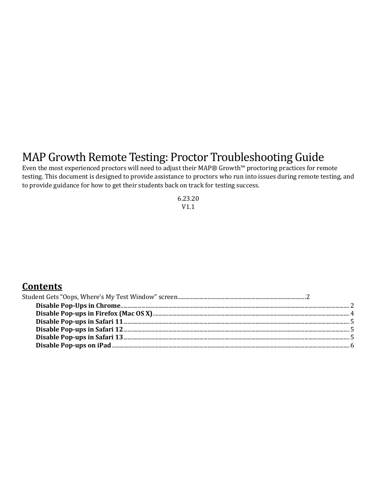# MAP Growth Remote Testing: Proctor Troubleshooting Guide

Even the most experienced proctors will need to adjust their MAP® Growth™ proctoring practices for remote testing. This document is designed to provide assistance to proctors who run into issues during remote testing, and to provide guidance for how to get their students back on track for testing success.

> 6.23.20 V1.1

### **Contents**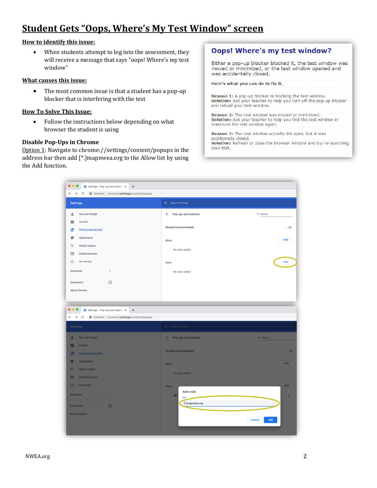### <span id="page-1-0"></span>**Student Gets "Oops, Where's My Test Window" screen**

#### **How to identify this issue:**

When students attempt to log into the assessment, they will receive a message that says "oops! Where's my test window"

#### **What causes this issue:**

• The most common issue is that a student has a pop-up blocker that is interfering with the test

#### **How To Solve This Issue:**

• Follow the instructions below depending on what browser the student is using

#### <span id="page-1-1"></span>**Disable Pop-Ups in Chrome**

Option 1: Navigate to chrome://settings/content/popups in the address bar then add [\*.]mapnwea.org to the Allow list by using the Add function.

#### **Oops! Where's my test window?**

Either a pop-up blocker blocked it, the test window was moved or minimized, or the test window opened and was accidentally closed.

Here's what you can do to fix it.

Reason 1: A pop-up blocker is blocking the test window. Solution: Ask your teacher to help you turn off the pop-up blocker and reload your test window.

**Reason 2:** The test window was moved or minimized. Solution: Ask your teacher to help you find the test window or maximize the test window again.

Reason 3: The test window actually did open, but it was accidentally closed.

Solution: Refresh or close the browser window and try re-launching your test.

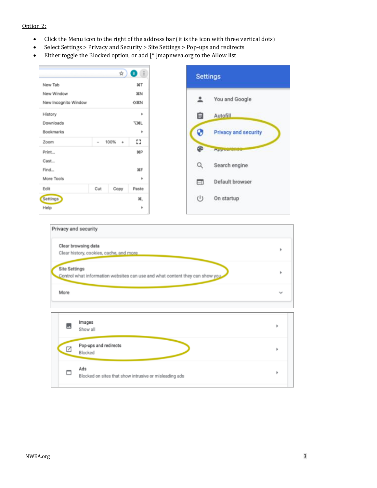#### Option 2:

- Click the Menu icon to the right of the address bar (it is the icon with three vertical dots)
- Select Settings > Privacy and Security > Site Settings > Pop-ups and redirects
- Either toggle the Blocked option, or add [\*.]mapnwea.org to the Allow list

|                                    |      | ☆         | <b>B</b> :  | <b>Settings</b>                  |
|------------------------------------|------|-----------|-------------|----------------------------------|
| New Tab                            |      |           | ЖT          |                                  |
| New Window<br>New Incognito Window |      |           | 3EN<br>OJEN | You and Google                   |
| History                            |      |           | ٠           | Ê<br>Autofill                    |
| Downloads                          |      |           | <b>TXL</b>  |                                  |
| Bookmarks                          |      |           | ٠           | 0<br><b>Privacy and security</b> |
| Zoom                               | $\,$ | $100\% +$ | Ω           |                                  |
| Print                              |      |           | <b>XP</b>   | ⊕<br><b>Hypowrange</b>           |
| Cast<br>Find                       |      |           | 3CF         | Q<br>Search engine               |
| More Tools                         |      |           | ٠           | Default browser<br>$\Box$        |
| Edit                               | Cut  | Copy      | Paste       |                                  |
| Settings                           |      |           | 36,         | $\cup$<br>On startup             |
| Help                               |      |           | ٠           |                                  |

|                      | Clear browsing data                                                           |  |
|----------------------|-------------------------------------------------------------------------------|--|
|                      | Clear history, cookies, cache, and more                                       |  |
| <b>Site Settings</b> | Control what information websites can use and what content they can show you. |  |
| More                 |                                                                               |  |
|                      |                                                                               |  |
|                      |                                                                               |  |
|                      | Images                                                                        |  |
|                      | Show all                                                                      |  |
|                      |                                                                               |  |
| Ø                    | Pop-ups and redirects<br>Blocked                                              |  |
|                      | Ads                                                                           |  |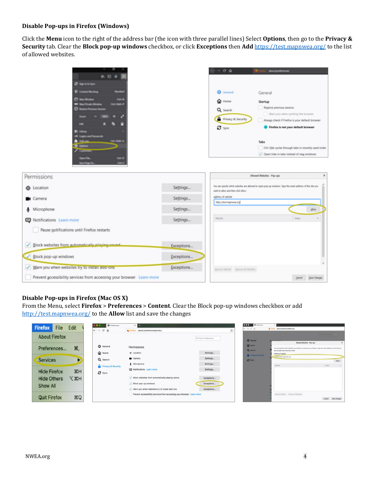#### **Disable Pop-ups in Firefox (Windows)**

Click the **Menu** icon to the right of the address bar (the icon with three parallel lines) Select **Options**, then go to the **Privacy & Security** tab. Clear the **Block pop-up windows** checkbox, or click **Exceptions** then **Add** <https://test.mapnwea.org/> to the list of allowed websites.



#### <span id="page-3-0"></span>**Disable Pop-ups in Firefox (Mac OS X)**

From the Menu, select **Firefox** > **Preferences** > **Content**. Clear the Block pop-up windows checkbox or add [http://test.mapnwea.org/](http://test.mapnwea.orga/) to the **Allow** list and save the changes

| <b>Firefox</b><br>File         | Edit       | <b>O</b> Preferences<br>$\leftarrow$ $\rightarrow$ $\alpha$ $\circ$ | $\times$ .<br>about preferences#privacy<br><b>C</b> Findox                                                                     | $\Omega$                               | $\bullet\bullet\bullet$<br>O Pulletons<br>$6 - 9 - 0 - 0$ | C Freto: shout preferences throwns                                                                                               |
|--------------------------------|------------|---------------------------------------------------------------------|--------------------------------------------------------------------------------------------------------------------------------|----------------------------------------|-----------------------------------------------------------|----------------------------------------------------------------------------------------------------------------------------------|
| <b>About Firefox</b>           |            |                                                                     |                                                                                                                                | Q. First in Preferences                | <b>Q</b> General                                          | Allowed Websites - Primages                                                                                                      |
| Preferences                    | ₩,         | <b>☆</b> General<br><b>O</b> Home                                   | Permissions<br>$\blacktriangleleft$ Location                                                                                   | Settings                               | $Q$ Home<br>Q Seatth<br>A Primes & Security               | You can specify which websites are allowed to spen pop up windows.<br>learn to allow and than click Alline.<br>Address of sedale |
| <b>Services</b>                | ▶          | Q Search<br>Privacy & Security                                      | <b>B</b> Camera<br>A Microphone                                                                                                | Settings<br>Sattings                   | <b>CO</b> Tyres                                           | <b>Infort chest manufactural</b><br><b>Westwing</b>                                                                              |
| <b>Hide Firefox</b>            | H          | $\mathbf{C}$ sync                                                   | <b>ED Notifications Learn more</b>                                                                                             | Settings                               |                                                           |                                                                                                                                  |
| <b>Hide Others</b><br>Show All | <b>H%7</b> |                                                                     | Block websites from automatically playing sound<br>$J$ Block pop-up windows<br>V Warn you when websites try to install add-ons | Exceptions<br>Exceptions<br>Exceptions |                                                           |                                                                                                                                  |
| <b>Quit Firefox</b>            | CO         |                                                                     | Prevent accessibility services from accessing your browser Learn more                                                          |                                        |                                                           | Reverse Majority. Reverse all Majoritan                                                                                          |

Carol Ban Charges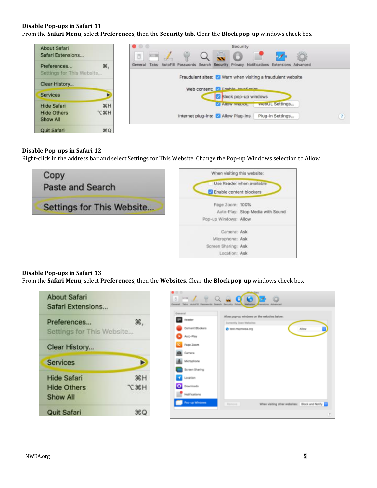#### <span id="page-4-0"></span>**Disable Pop-ups in Safari 11**

From the **Safari Menu**, select **Preferences**, then the **Security tab.** Clear the **Block pop-up** windows check box



#### <span id="page-4-1"></span>**Disable Pop-ups in Safari 12**

Right-click in the address bar and select Settings for This Website. Change the Pop-up Windows selection to Allow



#### <span id="page-4-2"></span>**Disable Pop-ups in Safari 13**

From the **Safari Menu**, select **Preferences**, then the **Websites.** Clear the **Block pop-up** windows check box

| <b>About Safari</b><br>Safari Extensions                    |                 |
|-------------------------------------------------------------|-----------------|
| Preferences<br>Settings for This Website                    |                 |
| Clear History                                               |                 |
| <b>Services</b>                                             |                 |
| <b>Hide Safari</b><br><b>Hide Others</b><br><b>Show All</b> | H<br><b>H</b> X |
| <b>Quit Safari</b>                                          |                 |